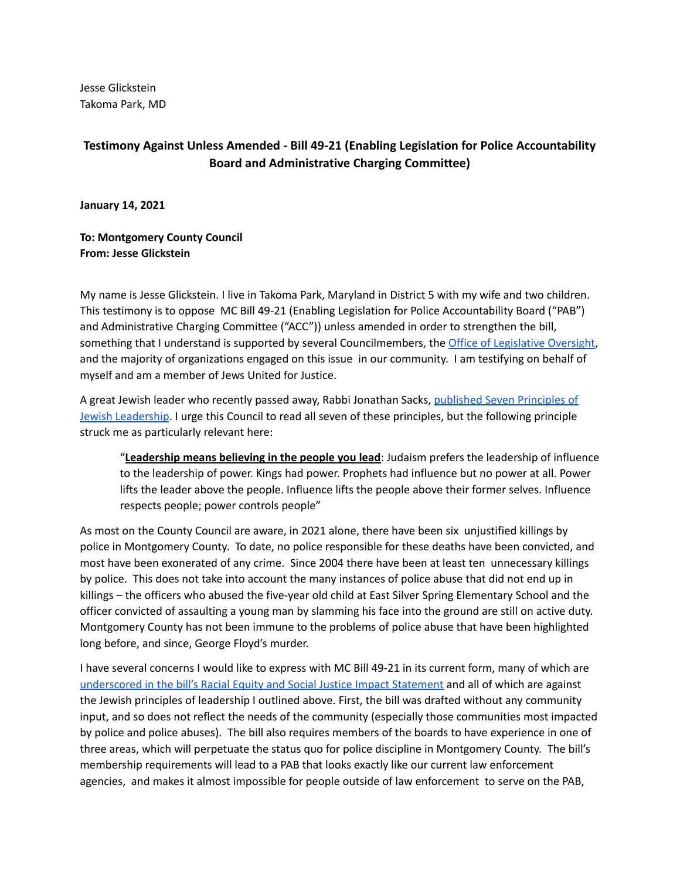Jesse Glickstein Takoma Park, MD

## **Testimony Against Unless Amended - Bill 49-21 (Enabling Legislation for Police Accountability Board and Administrative Charging Committee)**

**January 14, 2021**

**To: Montgomery County Council From: Jesse Glickstein**

My name is Jesse Glickstein. I live in Takoma Park, Maryland in District 5 with my wife and two children. This testimony is to oppose MC Bill 49-21 (Enabling Legislation for Police Accountability Board ("PAB") and Administrative Charging Committee ("ACC")) unless amended in order to strengthen the bill, something that I understand is supported by several Councilmembers, the Office of [Legislative](https://www.montgomerycountymd.gov/OLO/Resources/Files/resjis/2022/Bill49-21.pdf) Oversight, and the majority of organizations engaged on this issue in our community. I am testifying on behalf of myself and am a member of Jews United for Justice.

A great Jewish leader who recently passed away, Rabbi Jonathan Sacks, [published](https://rabbisacks.org/seven-principles-of-jewish-leadership-written-for-the-adam-science-foundation-leadership-programme/) Seven Principles of Jewish [Leadership](https://rabbisacks.org/seven-principles-of-jewish-leadership-written-for-the-adam-science-foundation-leadership-programme/). I urge this Council to read all seven of these principles, but the following principle struck me as particularly relevant here:

"**Leadership means believing in the people you lead**: Judaism prefers the leadership of influence to the leadership of power. Kings had power. Prophets had influence but no power at all. Power lifts the leader above the people. Influence lifts the people above their former selves. Influence respects people; power controls people"

As most on the County Council are aware, in 2021 alone, there have been six unjustified killings by police in Montgomery County. To date, no police responsible for these deaths have been convicted, and most have been exonerated of any crime. Since 2004 there have been at least ten unnecessary killings by police. This does not take into account the many instances of police abuse that did not end up in killings – the officers who abused the five-year old child at East Silver Spring Elementary School and the officer convicted of assaulting a young man by slamming his face into the ground are still on active duty. Montgomery County has not been immune to the problems of police abuse that have been highlighted long before, and since, George Floyd's murder.

I have several concerns I would like to express with MC Bill 49-21 in its current form, many of which are [underscored](https://www.montgomerycountymd.gov/OLO/Resources/Files/resjis/2022/Bill49-21.pdf) in the bill's Racial Equity and Social Justice Impact Statement and all of which are against the Jewish principles of leadership I outlined above. First, the bill was drafted without any community input, and so does not reflect the needs of the community (especially those communities most impacted by police and police abuses). The bill also requires members of the boards to have experience in one of three areas, which will perpetuate the status quo for police discipline in Montgomery County. The bill's membership requirements will lead to a PAB that looks exactly like our current law enforcement agencies, and makes it almost impossible for people outside of law enforcement to serve on the PAB,